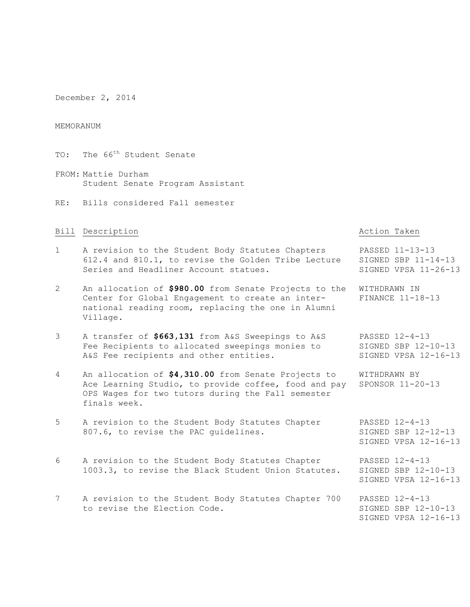December 2, 2014

### MEMORANUM

- TO: The 66<sup>th</sup> Student Senate
- FROM: Mattie Durham Student Senate Program Assistant
- RE: Bills considered Fall semester

### Bill Description and the settlement of the Bill Description of the Action Taken

- 1 A revision to the Student Body Statutes Chapters PASSED 11-13-13 612.4 and 810.1, to revise the Golden Tribe Lecture SIGNED SBP 11-14-13 Series and Headliner Account statues. SIGNED VPSA 11-26-13
- 2 An allocation of **\$980.00** from Senate Projects to the WITHDRAWN IN Center for Global Engagement to create an inter- FINANCE 11-18-13 national reading room, replacing the one in Alumni Village.
- 3 A transfer of **\$663,131** from A&S Sweepings to A&S PASSED 12-4-13 Fee Recipients to allocated sweepings monies to SIGNED SBP 12-10-13 A&S Fee recipients and other entities. SIGNED VPSA 12-16-13
- 4 An allocation of **\$4,310.00** from Senate Projects to WITHDRAWN BY Ace Learning Studio, to provide coffee, food and pay SPONSOR 11-20-13 OPS Wages for two tutors during the Fall semester finals week.
- 5 A revision to the Student Body Statutes Chapter PASSED 12-4-13 807.6, to revise the PAC guidelines. SIGNED SBP 12-12-13
- 6 A revision to the Student Body Statutes Chapter PASSED 12-4-13<br>1003.3, to revise the Black Student Union Statutes. SIGNED SBP 12-10-13 1003.3, to revise the Black Student Union Statutes.
- 7 A revision to the Student Body Statutes Chapter 700 PASSED 12-4-13 to revise the Election Code. SIGNED SBP 12-10-13

SIGNED VPSA 12-16-13

SIGNED VPSA 12-16-13

SIGNED VPSA 12-16-13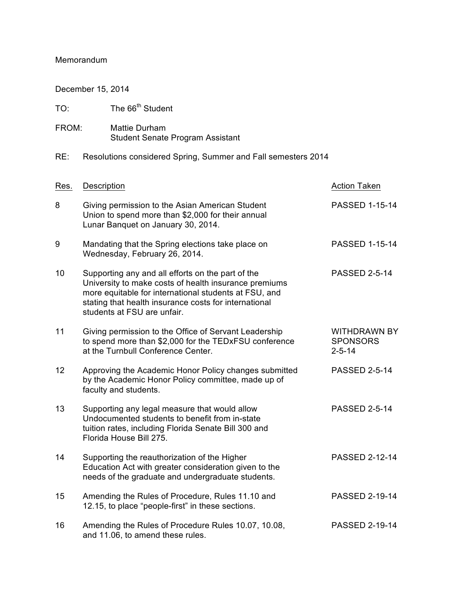## Memorandum

December 15, 2014

| TO:   | The 66 <sup>th</sup> Student                                                                                                                                                                                                                                |                                                        |
|-------|-------------------------------------------------------------------------------------------------------------------------------------------------------------------------------------------------------------------------------------------------------------|--------------------------------------------------------|
| FROM: | Mattie Durham<br>Student Senate Program Assistant                                                                                                                                                                                                           |                                                        |
| RE:   | Resolutions considered Spring, Summer and Fall semesters 2014                                                                                                                                                                                               |                                                        |
| Res.  | Description                                                                                                                                                                                                                                                 | <b>Action Taken</b>                                    |
| 8     | Giving permission to the Asian American Student<br>Union to spend more than \$2,000 for their annual<br>Lunar Banquet on January 30, 2014.                                                                                                                  | <b>PASSED 1-15-14</b>                                  |
| 9     | Mandating that the Spring elections take place on<br>Wednesday, February 26, 2014.                                                                                                                                                                          | <b>PASSED 1-15-14</b>                                  |
| 10    | Supporting any and all efforts on the part of the<br>University to make costs of health insurance premiums<br>more equitable for international students at FSU, and<br>stating that health insurance costs for international<br>students at FSU are unfair. | <b>PASSED 2-5-14</b>                                   |
| 11    | Giving permission to the Office of Servant Leadership<br>to spend more than \$2,000 for the TEDxFSU conference<br>at the Turnbull Conference Center.                                                                                                        | <b>WITHDRAWN BY</b><br><b>SPONSORS</b><br>$2 - 5 - 14$ |
| 12    | Approving the Academic Honor Policy changes submitted<br>by the Academic Honor Policy committee, made up of<br>faculty and students.                                                                                                                        | <b>PASSED 2-5-14</b>                                   |
| 13    | Supporting any legal measure that would allow<br>Undocumented students to benefit from in-state<br>tuition rates, including Florida Senate Bill 300 and<br>Florida House Bill 275.                                                                          | <b>PASSED 2-5-14</b>                                   |
| 14    | Supporting the reauthorization of the Higher<br>Education Act with greater consideration given to the<br>needs of the graduate and undergraduate students.                                                                                                  | <b>PASSED 2-12-14</b>                                  |
| 15    | Amending the Rules of Procedure, Rules 11.10 and<br>12.15, to place "people-first" in these sections.                                                                                                                                                       | <b>PASSED 2-19-14</b>                                  |
| 16    | Amending the Rules of Procedure Rules 10.07, 10.08,<br>and 11.06, to amend these rules.                                                                                                                                                                     | PASSED 2-19-14                                         |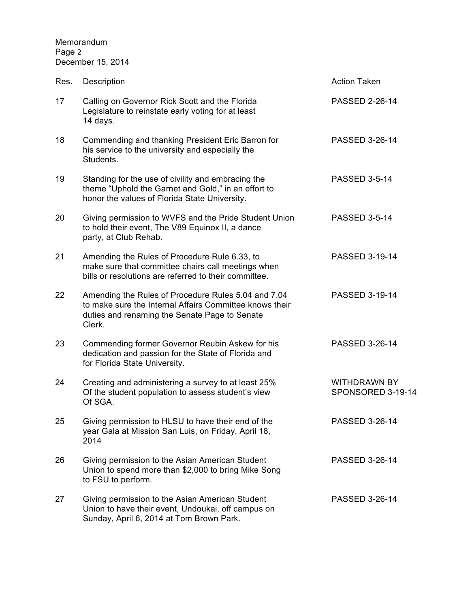Memorandum Page 2 December 15, 2014

| Res. | Description                                                                                                                                                               | <b>Action Taken</b>                      |
|------|---------------------------------------------------------------------------------------------------------------------------------------------------------------------------|------------------------------------------|
| 17   | Calling on Governor Rick Scott and the Florida<br>Legislature to reinstate early voting for at least<br>14 days.                                                          | <b>PASSED 2-26-14</b>                    |
| 18   | Commending and thanking President Eric Barron for<br>his service to the university and especially the<br>Students.                                                        | PASSED 3-26-14                           |
| 19   | Standing for the use of civility and embracing the<br>theme "Uphold the Garnet and Gold," in an effort to<br>honor the values of Florida State University.                | <b>PASSED 3-5-14</b>                     |
| 20   | Giving permission to WVFS and the Pride Student Union<br>to hold their event, The V89 Equinox II, a dance<br>party, at Club Rehab.                                        | <b>PASSED 3-5-14</b>                     |
| 21   | Amending the Rules of Procedure Rule 6.33, to<br>make sure that committee chairs call meetings when<br>bills or resolutions are referred to their committee.              | <b>PASSED 3-19-14</b>                    |
| 22   | Amending the Rules of Procedure Rules 5.04 and 7.04<br>to make sure the Internal Affairs Committee knows their<br>duties and renaming the Senate Page to Senate<br>Clerk. | PASSED 3-19-14                           |
| 23   | Commending former Governor Reubin Askew for his<br>dedication and passion for the State of Florida and<br>for Florida State University.                                   | PASSED 3-26-14                           |
| 24   | Creating and administering a survey to at least 25%<br>Of the student population to assess student's view<br>Of SGA.                                                      | <b>WITHDRAWN BY</b><br>SPONSORED 3-19-14 |
| 25   | Giving permission to HLSU to have their end of the<br>year Gala at Mission San Luis, on Friday, April 18,<br>2014                                                         | PASSED 3-26-14                           |
| 26   | Giving permission to the Asian American Student<br>Union to spend more than \$2,000 to bring Mike Song<br>to FSU to perform.                                              | PASSED 3-26-14                           |
| 27   | Giving permission to the Asian American Student<br>Union to have their event, Undoukai, off campus on<br>Sunday, April 6, 2014 at Tom Brown Park.                         | PASSED 3-26-14                           |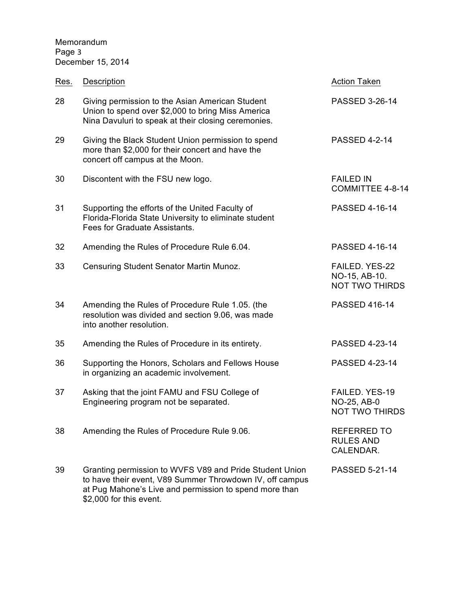# Memorandum Page 3 December 15, 2014

\$2,000 for this event.

| Res. | Description                                                                                                                                                                   | <b>Action Taken</b>                                      |
|------|-------------------------------------------------------------------------------------------------------------------------------------------------------------------------------|----------------------------------------------------------|
| 28   | Giving permission to the Asian American Student<br>Union to spend over \$2,000 to bring Miss America<br>Nina Davuluri to speak at their closing ceremonies.                   | PASSED 3-26-14                                           |
| 29   | Giving the Black Student Union permission to spend<br>more than \$2,000 for their concert and have the<br>concert off campus at the Moon.                                     | <b>PASSED 4-2-14</b>                                     |
| 30   | Discontent with the FSU new logo.                                                                                                                                             | <b>FAILED IN</b><br>COMMITTEE 4-8-14                     |
| 31   | Supporting the efforts of the United Faculty of<br>Florida-Florida State University to eliminate student<br>Fees for Graduate Assistants.                                     | PASSED 4-16-14                                           |
| 32   | Amending the Rules of Procedure Rule 6.04.                                                                                                                                    | PASSED 4-16-14                                           |
| 33   | Censuring Student Senator Martin Munoz.                                                                                                                                       | FAILED. YES-22<br>NO-15, AB-10.<br><b>NOT TWO THIRDS</b> |
| 34   | Amending the Rules of Procedure Rule 1.05. (the<br>resolution was divided and section 9.06, was made<br>into another resolution.                                              | <b>PASSED 416-14</b>                                     |
| 35   | Amending the Rules of Procedure in its entirety.                                                                                                                              | PASSED 4-23-14                                           |
| 36   | Supporting the Honors, Scholars and Fellows House<br>in organizing an academic involvement.                                                                                   | PASSED 4-23-14                                           |
| 37   | Asking that the joint FAMU and FSU College of<br>Engineering program not be separated.                                                                                        | FAILED. YES-19<br>NO-25, AB-0<br><b>NOT TWO THIRDS</b>   |
| 38   | Amending the Rules of Procedure Rule 9.06.                                                                                                                                    | <b>REFERRED TO</b><br><b>RULES AND</b><br>CALENDAR.      |
| 39   | Granting permission to WVFS V89 and Pride Student Union<br>to have their event, V89 Summer Throwdown IV, off campus<br>at Pug Mahone's Live and permission to spend more than | <b>PASSED 5-21-14</b>                                    |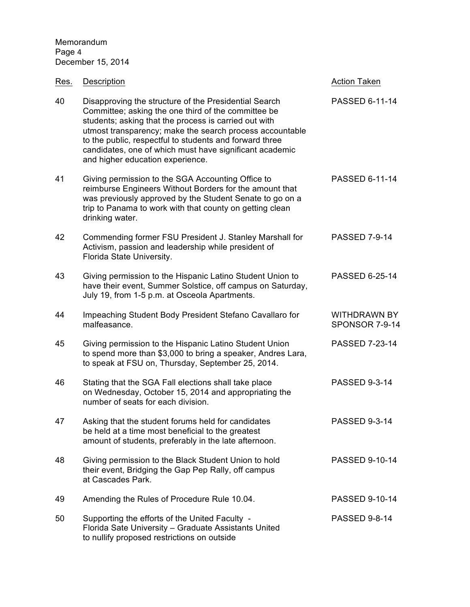| Res. | Description                                                                                                                                                                                                                                                                                                                                                                                 | <b>Action Taken</b>                   |
|------|---------------------------------------------------------------------------------------------------------------------------------------------------------------------------------------------------------------------------------------------------------------------------------------------------------------------------------------------------------------------------------------------|---------------------------------------|
| 40   | Disapproving the structure of the Presidential Search<br>Committee; asking the one third of the committee be<br>students; asking that the process is carried out with<br>utmost transparency; make the search process accountable<br>to the public, respectful to students and forward three<br>candidates, one of which must have significant academic<br>and higher education experience. | PASSED 6-11-14                        |
| 41   | Giving permission to the SGA Accounting Office to<br>reimburse Engineers Without Borders for the amount that<br>was previously approved by the Student Senate to go on a<br>trip to Panama to work with that county on getting clean<br>drinking water.                                                                                                                                     | PASSED 6-11-14                        |
| 42   | Commending former FSU President J. Stanley Marshall for<br>Activism, passion and leadership while president of<br>Florida State University.                                                                                                                                                                                                                                                 | <b>PASSED 7-9-14</b>                  |
| 43   | Giving permission to the Hispanic Latino Student Union to<br>have their event, Summer Solstice, off campus on Saturday,<br>July 19, from 1-5 p.m. at Osceola Apartments.                                                                                                                                                                                                                    | PASSED 6-25-14                        |
| 44   | Impeaching Student Body President Stefano Cavallaro for<br>malfeasance.                                                                                                                                                                                                                                                                                                                     | <b>WITHDRAWN BY</b><br>SPONSOR 7-9-14 |
| 45   | Giving permission to the Hispanic Latino Student Union<br>to spend more than \$3,000 to bring a speaker, Andres Lara,<br>to speak at FSU on, Thursday, September 25, 2014.                                                                                                                                                                                                                  | PASSED 7-23-14                        |
| 46   | Stating that the SGA Fall elections shall take place<br>on Wednesday, October 15, 2014 and appropriating the<br>number of seats for each division.                                                                                                                                                                                                                                          | <b>PASSED 9-3-14</b>                  |
| 47   | Asking that the student forums held for candidates<br>be held at a time most beneficial to the greatest<br>amount of students, preferably in the late afternoon.                                                                                                                                                                                                                            | <b>PASSED 9-3-14</b>                  |
| 48   | Giving permission to the Black Student Union to hold<br>their event, Bridging the Gap Pep Rally, off campus<br>at Cascades Park.                                                                                                                                                                                                                                                            | <b>PASSED 9-10-14</b>                 |
| 49   | Amending the Rules of Procedure Rule 10.04.                                                                                                                                                                                                                                                                                                                                                 | <b>PASSED 9-10-14</b>                 |
| 50   | Supporting the efforts of the United Faculty -<br>Florida Sate University - Graduate Assistants United<br>to nullify proposed restrictions on outside                                                                                                                                                                                                                                       | <b>PASSED 9-8-14</b>                  |